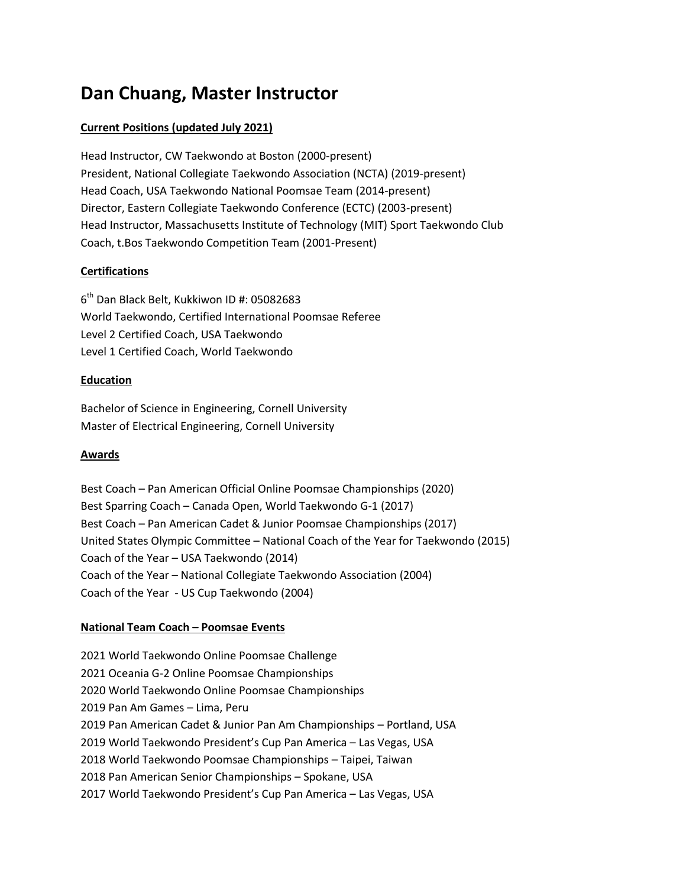# **Dan Chuang, Master Instructor**

# **Current Positions (updated July 2021)**

Head Instructor, CW Taekwondo at Boston (2000-present) President, National Collegiate Taekwondo Association (NCTA) (2019-present) Head Coach, USA Taekwondo National Poomsae Team (2014-present) Director, Eastern Collegiate Taekwondo Conference (ECTC) (2003-present) Head Instructor, Massachusetts Institute of Technology (MIT) Sport Taekwondo Club Coach, t.Bos Taekwondo Competition Team (2001-Present)

# **Certifications**

6 th Dan Black Belt, Kukkiwon ID #: 05082683 World Taekwondo, Certified International Poomsae Referee Level 2 Certified Coach, USA Taekwondo Level 1 Certified Coach, World Taekwondo

## **Education**

Bachelor of Science in Engineering, Cornell University Master of Electrical Engineering, Cornell University

## **Awards**

Best Coach – Pan American Official Online Poomsae Championships (2020) Best Sparring Coach – Canada Open, World Taekwondo G-1 (2017) Best Coach – Pan American Cadet & Junior Poomsae Championships (2017) United States Olympic Committee – National Coach of the Year for Taekwondo (2015) Coach of the Year – USA Taekwondo (2014) Coach of the Year – National Collegiate Taekwondo Association (2004) Coach of the Year - US Cup Taekwondo (2004)

# **National Team Coach – Poomsae Events**

2021 World Taekwondo Online Poomsae Challenge 2021 Oceania G-2 Online Poomsae Championships 2020 World Taekwondo Online Poomsae Championships 2019 Pan Am Games – Lima, Peru 2019 Pan American Cadet & Junior Pan Am Championships – Portland, USA 2019 World Taekwondo President's Cup Pan America – Las Vegas, USA 2018 World Taekwondo Poomsae Championships – Taipei, Taiwan 2018 Pan American Senior Championships – Spokane, USA 2017 World Taekwondo President's Cup Pan America – Las Vegas, USA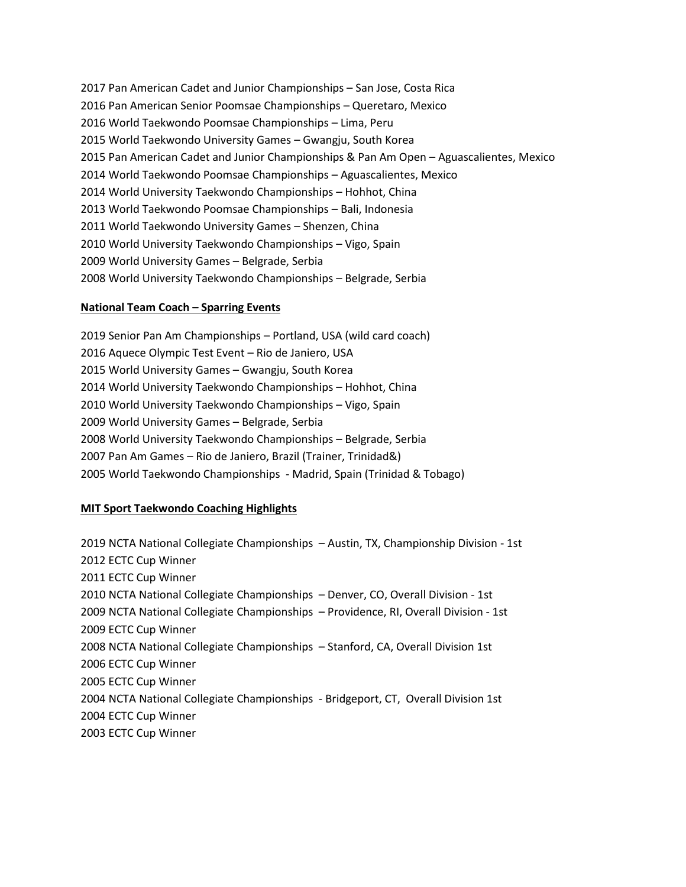2017 Pan American Cadet and Junior Championships – San Jose, Costa Rica 2016 Pan American Senior Poomsae Championships – Queretaro, Mexico 2016 World Taekwondo Poomsae Championships – Lima, Peru 2015 World Taekwondo University Games – Gwangju, South Korea 2015 Pan American Cadet and Junior Championships & Pan Am Open – Aguascalientes, Mexico 2014 World Taekwondo Poomsae Championships – Aguascalientes, Mexico 2014 World University Taekwondo Championships – Hohhot, China 2013 World Taekwondo Poomsae Championships – Bali, Indonesia 2011 World Taekwondo University Games – Shenzen, China 2010 World University Taekwondo Championships – Vigo, Spain 2009 World University Games – Belgrade, Serbia 2008 World University Taekwondo Championships – Belgrade, Serbia

#### **National Team Coach – Sparring Events**

2019 Senior Pan Am Championships – Portland, USA (wild card coach) 2016 Aquece Olympic Test Event – Rio de Janiero, USA 2015 World University Games – Gwangju, South Korea 2014 World University Taekwondo Championships – Hohhot, China 2010 World University Taekwondo Championships – Vigo, Spain 2009 World University Games – Belgrade, Serbia 2008 World University Taekwondo Championships – Belgrade, Serbia 2007 Pan Am Games – Rio de Janiero, Brazil (Trainer, Trinidad&) 2005 World Taekwondo Championships - Madrid, Spain (Trinidad & Tobago)

## **MIT Sport Taekwondo Coaching Highlights**

2019 NCTA National Collegiate Championships – Austin, TX, Championship Division - 1st 2012 ECTC Cup Winner 2011 ECTC Cup Winner 2010 NCTA National Collegiate Championships – Denver, CO, Overall Division - 1st 2009 NCTA National Collegiate Championships – Providence, RI, Overall Division - 1st 2009 ECTC Cup Winner 2008 NCTA National Collegiate Championships – Stanford, CA, Overall Division 1st 2006 ECTC Cup Winner 2005 ECTC Cup Winner 2004 NCTA National Collegiate Championships - Bridgeport, CT, Overall Division 1st 2004 ECTC Cup Winner 2003 ECTC Cup Winner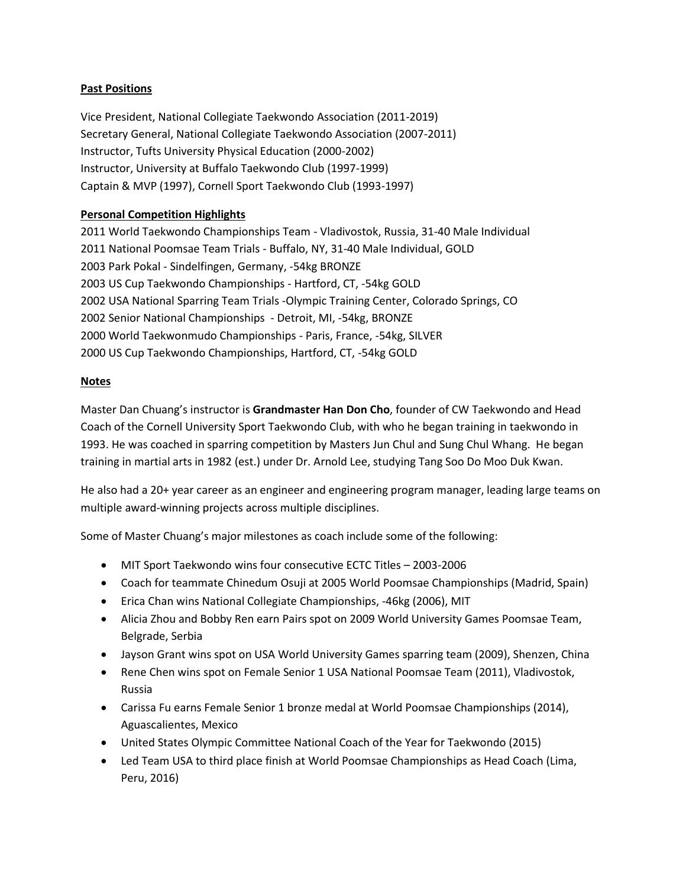# **Past Positions**

Vice President, National Collegiate Taekwondo Association (2011-2019) Secretary General, National Collegiate Taekwondo Association (2007-2011) Instructor, Tufts University Physical Education (2000-2002) Instructor, University at Buffalo Taekwondo Club (1997-1999) Captain & MVP (1997), Cornell Sport Taekwondo Club (1993-1997)

# **Personal Competition Highlights**

2011 World Taekwondo Championships Team - Vladivostok, Russia, 31-40 Male Individual 2011 National Poomsae Team Trials - Buffalo, NY, 31-40 Male Individual, GOLD 2003 Park Pokal - Sindelfingen, Germany, -54kg BRONZE 2003 US Cup Taekwondo Championships - Hartford, CT, -54kg GOLD 2002 USA National Sparring Team Trials -Olympic Training Center, Colorado Springs, CO 2002 Senior National Championships - Detroit, MI, -54kg, BRONZE 2000 World Taekwonmudo Championships - Paris, France, -54kg, SILVER 2000 US Cup Taekwondo Championships, Hartford, CT, -54kg GOLD

## **Notes**

Master Dan Chuang's instructor is **Grandmaster Han Don Cho**, founder of CW Taekwondo and Head Coach of the Cornell University Sport Taekwondo Club, with who he began training in taekwondo in 1993. He was coached in sparring competition by Masters Jun Chul and Sung Chul Whang. He began training in martial arts in 1982 (est.) under Dr. Arnold Lee, studying Tang Soo Do Moo Duk Kwan.

He also had a 20+ year career as an engineer and engineering program manager, leading large teams on multiple award-winning projects across multiple disciplines.

Some of Master Chuang's major milestones as coach include some of the following:

- MIT Sport Taekwondo wins four consecutive ECTC Titles 2003-2006
- Coach for teammate Chinedum Osuji at 2005 World Poomsae Championships (Madrid, Spain)
- Erica Chan wins National Collegiate Championships, -46kg (2006), MIT
- Alicia Zhou and Bobby Ren earn Pairs spot on 2009 World University Games Poomsae Team, Belgrade, Serbia
- Jayson Grant wins spot on USA World University Games sparring team (2009), Shenzen, China
- Rene Chen wins spot on Female Senior 1 USA National Poomsae Team (2011), Vladivostok, Russia
- Carissa Fu earns Female Senior 1 bronze medal at World Poomsae Championships (2014), Aguascalientes, Mexico
- United States Olympic Committee National Coach of the Year for Taekwondo (2015)
- Led Team USA to third place finish at World Poomsae Championships as Head Coach (Lima, Peru, 2016)